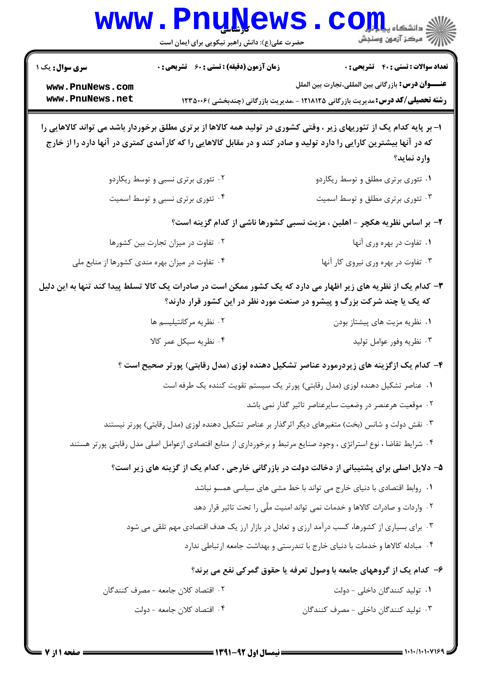|                                                                                | <b>www.PnuNews</b><br>حضرت علی(ع): دانش راهبر نیکویی برای ایمان است                                                                                                                       | أأآت مركز آزمون وسنجش                                                                                                                                                                                                                                     |  |  |
|--------------------------------------------------------------------------------|-------------------------------------------------------------------------------------------------------------------------------------------------------------------------------------------|-----------------------------------------------------------------------------------------------------------------------------------------------------------------------------------------------------------------------------------------------------------|--|--|
| <b>سری سوال :</b> یک ۱<br>www.PnuNews.com<br>www.PnuNews.net                   | <b>زمان آزمون (دقیقه) : تستی : 60 ٪ تشریحی : 0</b>                                                                                                                                        | <b>تعداد سوالات : تستي : 40 - تشريحي : 0</b><br><b>عنــــوان درس:</b> بازرگانی بین المللی،تجارت بین الملل<br><b>رشته تحصیلی/کد درس:</b> مدیریت بازرگانی ۱۲۱۸۱۲۵ - ،مدیریت بازرگانی (چندبخشی )۱۲۳۵۰۰۶                                                      |  |  |
|                                                                                |                                                                                                                                                                                           | ا– بر پایه کدام یک از تئوریهای زیر ، وقتی کشوری در تولید همه کالاها از برتری مطلق برخوردار باشد می تواند کالاهایی را<br>که در آنها بیشترین کارایی را دارد تولید و صادر کند و در مقابل کالاهایی را که کارآمدی کمتری در آنها دارد را از خارج<br>وارد نمايد؟ |  |  |
|                                                                                | ۰۲ تئوری برتری نسبی و توسط ریکاردو                                                                                                                                                        | ۰۱ تئوری برتری مطلق و توسط ریکاردو                                                                                                                                                                                                                        |  |  |
|                                                                                | ۰۴ تئوری برتری نسبی و توسط اسمیت                                                                                                                                                          | ۰۳ تئوری برتری مطلق و توسط اسمیت                                                                                                                                                                                                                          |  |  |
|                                                                                |                                                                                                                                                                                           | ۲- بر اساس نظریه هکچر - اهلین ، مزیت نسبی کشورها ناشی از کدام گزینه است؟                                                                                                                                                                                  |  |  |
|                                                                                | ۰۲ تفاوت در میزان تجارت بین کشورها                                                                                                                                                        | ۰۱ تفاوت در بهره وری آنها                                                                                                                                                                                                                                 |  |  |
|                                                                                | ۰۴ تفاوت در میزان بهره مندی کشورها از منابع ملی                                                                                                                                           | ۰۳ تفاوت در بهره وری نیروی کار آنها                                                                                                                                                                                                                       |  |  |
|                                                                                | ۳- کدام یک از نظریه های زیر اظهار می دارد که یک کشور ممکن است در صادرات یک کالا تسلط پیدا کند تنها به این دلیل<br>که یک یا چند شرکت بزرگ و پیشرو در صنعت مورد نظر در این کشور قرار دارند؟ |                                                                                                                                                                                                                                                           |  |  |
|                                                                                | ۰۲ نظریه مرکانتیلیسم ها                                                                                                                                                                   | ۰۱ نظریه مزیت های پیشتاز بودن                                                                                                                                                                                                                             |  |  |
| ۰۴ نظریه سیکل عمر کالا                                                         |                                                                                                                                                                                           | ۰۳ نظریه وفور عوامل تولید                                                                                                                                                                                                                                 |  |  |
|                                                                                |                                                                                                                                                                                           | ۴- کدام یک ازگزینه های زیردرمورد عناصر تشکیل دهنده لوزی (مدل رقابتی) پورتر صحیح است ؟                                                                                                                                                                     |  |  |
|                                                                                |                                                                                                                                                                                           | ۰۱ عناصر تشکیل دهنده لوزی (مدل رقابتی) پورتر یک سیستم تقویت کننده یک طرفه است                                                                                                                                                                             |  |  |
|                                                                                |                                                                                                                                                                                           | ۰۲ موقعیت هرعنصر در وضعیت سایرعناصر تاثیر گذار نمی باشد                                                                                                                                                                                                   |  |  |
|                                                                                |                                                                                                                                                                                           | ۰۳ نقش دولت و شانس (بخت) متغیرهای دیگر اثر گذار بر عناصر تشکیل دهنده لوزی (مدل رقابتی) پورتر نیستند                                                                                                                                                       |  |  |
|                                                                                |                                                                                                                                                                                           | ۰۴ شرایط تقاضا ، نوع استراتژی ، وجود صنایع مرتبط و برخورداری از منابع اقتصادی ازعوامل اصلی مدل رقابتی پورتر هستند                                                                                                                                         |  |  |
|                                                                                |                                                                                                                                                                                           | ۵– دلایل اصلی برای پشتیبانی از دخالت دولت در بازرگانی خارجی ، کدام یک از گزینه های زیر است؟                                                                                                                                                               |  |  |
|                                                                                |                                                                                                                                                                                           | ۰۱ روابط اقتصادی با دنیای خارج می تواند با خط مشی های سیاسی همسو نباشد                                                                                                                                                                                    |  |  |
|                                                                                |                                                                                                                                                                                           | ۰۲ واردات و صادرات کالاها و خدمات نمی تواند امنیت ملّی را تحت تاثیر قرار دهد                                                                                                                                                                              |  |  |
|                                                                                |                                                                                                                                                                                           | ۰۳ برای بسیاری از کشورها، کسب درآمد ارزی و تعادل در بازار ارز یک هدف اقتصادی مهم تلقی می شود                                                                                                                                                              |  |  |
| ۰۴ مبادله کالاها و خدمات با دنیای خارج با تندرستی و بهداشت جامعه ارتباطی ندارد |                                                                                                                                                                                           |                                                                                                                                                                                                                                                           |  |  |
|                                                                                |                                                                                                                                                                                           | ۶- کدام یک از گروههای جامعه با وصول تعرفه یا حقوق گمرکی نفع می برند؟                                                                                                                                                                                      |  |  |
|                                                                                | ٢. اقتصاد كلان جامعه - مصرف كنندگان                                                                                                                                                       | ۰۱ تولید کنندگان داخلی - دولت                                                                                                                                                                                                                             |  |  |
|                                                                                | ۰۴ اقتصاد کلان جامعه - دولت                                                                                                                                                               | ۰۳ تولید کنندگان داخلی - مصرف کنندگان                                                                                                                                                                                                                     |  |  |
|                                                                                |                                                                                                                                                                                           |                                                                                                                                                                                                                                                           |  |  |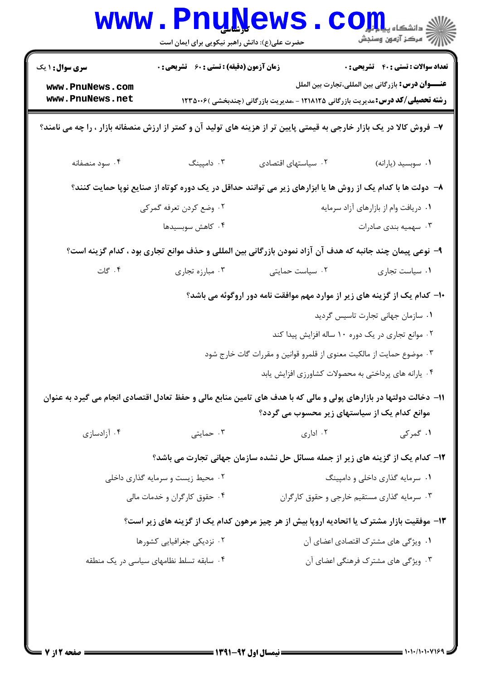|                                                                                                                                                                    | <b>LLY</b><br>حضرت علی(ع): دانش راهبر نیکویی برای ایمان است |                                                                                                                       | د دانشگاه پ <b>یا ب<sup>ا</sup> تو</b><br>بہ مرڪز آزمون وسنڊش |
|--------------------------------------------------------------------------------------------------------------------------------------------------------------------|-------------------------------------------------------------|-----------------------------------------------------------------------------------------------------------------------|---------------------------------------------------------------|
| <b>سری سوال : ۱ یک</b>                                                                                                                                             | <b>زمان آزمون (دقیقه) : تستی : 60 ٪ تشریحی : 0</b>          |                                                                                                                       | <b>تعداد سوالات : تستي : 40 ٪ تشريحي : 0</b>                  |
| www.PnuNews.com<br>www.PnuNews.net                                                                                                                                 |                                                             | <b>رشته تحصیلی/کد درس:</b> مدیریت بازرگانی ۱۲۱۸۱۲۵ - ،مدیریت بازرگانی (چندبخشی )۱۲۳۵۰۰۶                               | <b>عنــــوان درس:</b> بازرگانی بین المللی،تجارت بین الملل     |
|                                                                                                                                                                    |                                                             | ۷- فروش کالا در یک بازار خارجی به قیمتی پایین تر از هزینه های تولید آن و کمتر از ارزش منصفانه بازار ، را چه می نامند؟ |                                                               |
| ۰۴ سود منصفانه                                                                                                                                                     | ۰۳ دامپينگ                                                  | ٠٢ سياستهاى اقتصادى                                                                                                   | ۰۱ سوبسید (یارانه)                                            |
| ۸– دولت ها با کدام یک از روش ها یا ابزارهای زیر می توانند حداقل در یک دوره کوتاه از صنایع نوپا حمایت کنند؟                                                         |                                                             |                                                                                                                       |                                                               |
|                                                                                                                                                                    | ۲. وضع کردن تعرفه گمرکی                                     |                                                                                                                       | ٠١ دريافت وام از بازارهاي آزاد سرمايه                         |
|                                                                                                                                                                    | ۰۴ کاهش سوبسیدها                                            |                                                                                                                       | ۰۳ سهمیه بندی صادرات                                          |
| ۹–  نوعی پیمان چند جانبه که هدف آن آزاد نمودن بازرگانی بین المللی و حذف موانع تجاری بود ، کدام گزینه است؟                                                          |                                                             |                                                                                                                       |                                                               |
| ۰۴ گات                                                                                                                                                             | ۰۳ مبارزه تجاري                                             | ۰۲ سیاست حمایتی                                                                                                       | ٠١ سياست تجارى                                                |
|                                                                                                                                                                    |                                                             | ∙۱− کدام یک از گزینه های زیر از موارد مهم موافقت نامه دور اروگوئه می باشد؟                                            |                                                               |
|                                                                                                                                                                    |                                                             |                                                                                                                       | ۰۱ سازمان جهانی تجارت تاسیس گردید                             |
|                                                                                                                                                                    |                                                             | ۰۲ موانع تجاری در یک دوره ۱۰ ساله افزایش پیدا کند                                                                     |                                                               |
|                                                                                                                                                                    |                                                             | ۰۳ موضوع حمایت از مالکیت معنوی از قلمرو قوانین و مقررات گات خارج شود                                                  |                                                               |
|                                                                                                                                                                    |                                                             | ۰۴ یارانه های پرداختی به محصولات کشاورزی افزایش یابد                                                                  |                                                               |
| 11- دخالت دولتها در بازارهای پولی و مالی که با هدف های تامین منابع مالی و حفظ تعادل اقتصادی انجام می گیرد به عنوان<br>موانع کدام یک از سیاستهای زیر محسوب می گردد؟ |                                                             |                                                                                                                       |                                                               |
| ۰۴ آزادسازی                                                                                                                                                        | ۰۳ حمایتی                                                   | ۰۲ اداری                                                                                                              | ۱. گمرکی                                                      |
|                                                                                                                                                                    |                                                             | ۱۲- کدام یک از گزینه های زیر از جمله مسائل حل نشده سازمان جهانی تجارت می باشد؟                                        |                                                               |
|                                                                                                                                                                    | ۰۲ محیط زیست و سرمایه گذاری داخلی                           |                                                                                                                       | ٠١ سرمايه گذاري داخلي و دامپينگ                               |
|                                                                                                                                                                    | ۰۴ حقوق کارگران و خدمات مالی                                |                                                                                                                       | ۰۳ سرمایه گذاری مستقیم خارجی و حقوق کارگران                   |
| ۱۳- موفقیت بازار مشترک یا اتحادیه اروپا بیش از هر چیز مرهون کدام یک از گزینه های زیر است؟                                                                          |                                                             |                                                                                                                       |                                                               |
|                                                                                                                                                                    | ۰۲ نزدیکی جغرافیایی کشورها                                  |                                                                                                                       | ۰۱ ویژگی های مشترک اقتصادی اعضای آن                           |
|                                                                                                                                                                    | ۰۴ سابقه تسلط نظامهای سیاسی در یک منطقه                     |                                                                                                                       | ۰۳ ویژگی های مشترک فرهنگی اعضای آن                            |
|                                                                                                                                                                    |                                                             |                                                                                                                       |                                                               |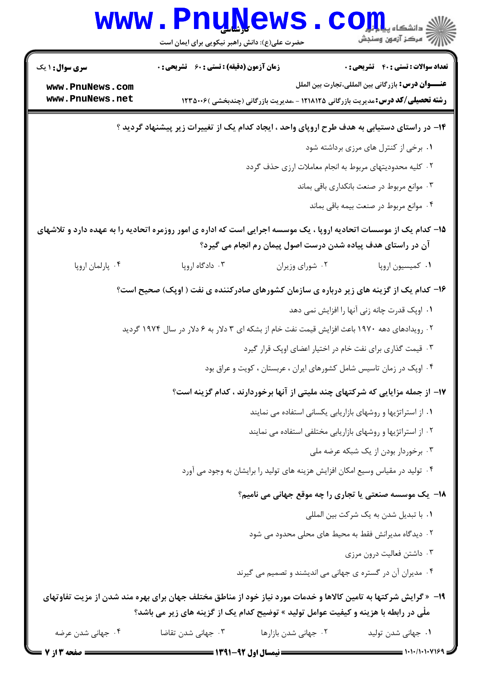|                                                                                               | <b>WWW.FNUWGWS</b><br>حضرت علی(ع): دانش راهبر نیکویی برای ایمان است                                                                                                                |                      | (د دانشکاه پی <mark>ا با بار</mark><br>(۶ مرکز آزمون وسنجش   |
|-----------------------------------------------------------------------------------------------|------------------------------------------------------------------------------------------------------------------------------------------------------------------------------------|----------------------|--------------------------------------------------------------|
| <b>سری سوال : ۱ یک</b>                                                                        | زمان آزمون (دقیقه) : تستی : 60 ٪ تشریحی : 0                                                                                                                                        |                      | <b>تعداد سوالات : تستی : 40 - تشریحی : 0</b>                 |
| www.PnuNews.com<br>www.PnuNews.net                                                            | <b>رشته تحصیلی/کد درس:</b> مدیریت بازرگانی ۱۲۱۸۱۲۵ - ،مدیریت بازرگانی (چندبخشی )۱۲۳۵۰۰۶                                                                                            |                      | عنـــوان درس: بازرگانی بین المللی،تجارت بین الملل            |
| ۱۴– در راستای دستیابی به هدف طرح اروپای واحد ، ایجاد کدام یک از تغییرات زیر پیشنهاد گردید ؟   |                                                                                                                                                                                    |                      |                                                              |
|                                                                                               |                                                                                                                                                                                    |                      | ۰۱ برخی از کنترل های مرزی برداشته شود                        |
|                                                                                               |                                                                                                                                                                                    |                      | ۰۲ کلیه محدودیتهای مربوط به انجام معاملات ارزی حذف گردد      |
|                                                                                               |                                                                                                                                                                                    |                      | ۰۳ موانع مربوط در صنعت بانکداری باقی بماند                   |
|                                                                                               |                                                                                                                                                                                    |                      | ۰۴ موانع مربوط در صنعت بيمه باقي بماند                       |
|                                                                                               | ۱۵– کدام یک از موسسات اتحادیه اروپا ، یک موسسه اجرایی است که اداره ی امور روزمره اتحادیه را به عهده دارد و تلاشهای<br>آن در راستای هدف پیاده شدن درست اصول پیمان رم انجام می گیرد؟ |                      |                                                              |
| ۰۴ پارلمان اروپا                                                                              | ۰۳ دادگاه اروپا                                                                                                                                                                    | ۰۲ شورای وزيران      | ٠١ كميسيون اروپا                                             |
|                                                                                               | ۱۶- کدام یک از گزینه های زیر درباره ی سازمان کشورهای صادرکننده ی نفت ( اوپک) صحیح است؟                                                                                             |                      |                                                              |
|                                                                                               |                                                                                                                                                                                    |                      | ۰۱ اوپک قدرت چانه زنی آنها را افزایش نمی دهد                 |
| ۲ . رویدادهای دهه ۱۹۷۰ باعث افزایش قیمت نفت خام از بشکه ای ۳ دلار به ۶ دلار در سال ۱۹۷۴ گردید |                                                                                                                                                                                    |                      |                                                              |
|                                                                                               | ۰۳ قیمت گذاری برای نفت خام در اختیار اعضای اوپک قرار گیرد                                                                                                                          |                      |                                                              |
|                                                                                               | ۰۴ اوپک در زمان تاسیس شامل کشورهای ایران ، عربستان ، کویت و عراق بود                                                                                                               |                      |                                                              |
|                                                                                               | ۱۷– از جمله مزایایی که شرکتهای چند ملیتی از آنها برخوردارند ، کدام گزینه است؟                                                                                                      |                      |                                                              |
|                                                                                               |                                                                                                                                                                                    |                      | ۰۱ از استراتژیها و روشهای بازاریابی یکسانی استفاده می نمایند |
|                                                                                               |                                                                                                                                                                                    |                      | ۰۲ از استراتژیها و روشهای بازاریابی مختلفی استفاده می نمایند |
|                                                                                               |                                                                                                                                                                                    |                      | ۰۳ برخوردار بودن از یک شبکه عرضه ملی                         |
|                                                                                               | ۰۴ تولید در مقیاس وسیع امکان افزایش هزینه های تولید را برایشان به وجود می آورد                                                                                                     |                      |                                                              |
| 18- یک موسسه صنعتی یا تجاری را چه موقع جهانی می نامیم؟                                        |                                                                                                                                                                                    |                      |                                                              |
|                                                                                               |                                                                                                                                                                                    |                      | ٠١ با تبديل شدن به يک شرکت بين المللي                        |
|                                                                                               |                                                                                                                                                                                    |                      | ۰۲ دیدگاه مدیرانش فقط به محیط های محلی محدود می شود          |
|                                                                                               |                                                                                                                                                                                    |                      | ۰۳ داشتن فعالیت درون مرزی                                    |
|                                                                                               |                                                                                                                                                                                    |                      | ۰۴ مدیران آن در گستره ی جهانی می اندیشند و تصمیم می گیرند    |
|                                                                                               | ۱۹- «گرایش شرکتها به تامین کالاها و خدمات مورد نیاز خود از مناطق مختلف جهان برای بهره مند شدن از مزیت تفاوتهای                                                                     |                      |                                                              |
|                                                                                               | ملْی در رابطه با هزینه و کیفیت عوامل تولید » توضیح کدام یک از گزینه های زیر می باشد؟                                                                                               |                      |                                                              |
| ۰۴ جهانی شدن عرضه                                                                             | ۰۳ جهانی شدن تقاضا                                                                                                                                                                 | ۰۲ جهانی شدن بازارها | ۰۱ جهانی شدن تولید                                           |
|                                                                                               |                                                                                                                                                                                    |                      |                                                              |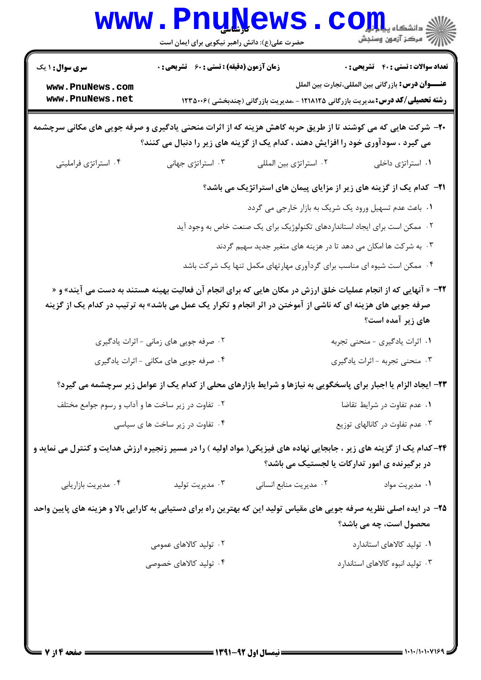|                                                                                                                                                                                                  | <b>VALLY</b><br>حضرت علی(ع): دانش راهبر نیکویی برای ایمان است |                                                                                                                                                                                                                             | د دانشکاه پ <b>یا با نار</b><br>بِ ۖ مرڪز آزمون وسنڊش     |
|--------------------------------------------------------------------------------------------------------------------------------------------------------------------------------------------------|---------------------------------------------------------------|-----------------------------------------------------------------------------------------------------------------------------------------------------------------------------------------------------------------------------|-----------------------------------------------------------|
| <b>سری سوال : ۱ یک</b>                                                                                                                                                                           | <b>زمان آزمون (دقیقه) : تستی : 60 ٪ تشریحی : 0</b>            |                                                                                                                                                                                                                             | <b>تعداد سوالات : تستي : 40 - تشريحي : 0</b>              |
| www.PnuNews.com<br>www.PnuNews.net                                                                                                                                                               |                                                               | <b>رشته تحصیلی/کد درس:</b> مدیریت بازرگانی ۱۲۱۸۱۲۵ - ،مدیریت بازرگانی (چندبخشی )۱۲۳۵۰۰۶                                                                                                                                     | <b>عنــــوان درس:</b> بازرگانی بین المللی،تجارت بین الملل |
| +۲- شرکت هایی که می کوشند تا از طریق حربه کاهش هزینه که از اثرات منحنی یادگیری و صرفه جویی های مکانی سرچشمه<br>می گیرد ، سودآوری خود را افزایش دهند ، کدام یک از گزینه های زیر را دنبال می کنند؟ |                                                               |                                                                                                                                                                                                                             |                                                           |
| ۰۴ استراتژی فراملیتی                                                                                                                                                                             | ۰۳ استراتژی جهانی                                             | ۰۲ استراتژی بین المللی                                                                                                                                                                                                      | ۰۱ استراتژی داخلی                                         |
|                                                                                                                                                                                                  |                                                               | <b>۲۱</b> - کدام یک از گزینه های زیر از مزایای پیمان های استراتژیک می باشد؟                                                                                                                                                 |                                                           |
|                                                                                                                                                                                                  |                                                               | ۰۱ باعث عدم تسهیل ورود یک شریک به بازار خارجی می گردد                                                                                                                                                                       |                                                           |
|                                                                                                                                                                                                  |                                                               | ۰۲ ممکن است برای ایجاد استانداردهای تکنولوژیک برای یک صنعت خاص به وجود آید                                                                                                                                                  |                                                           |
|                                                                                                                                                                                                  |                                                               | ۰۳ به شرکت ها امکان می دهد تا در هزینه های متغیر جدید سهیم گردند                                                                                                                                                            |                                                           |
|                                                                                                                                                                                                  |                                                               | ۰۴ ممکن است شیوه ای مناسب برای گردآوری مهارتهای مکمل تنها یک شرکت باشد                                                                                                                                                      |                                                           |
|                                                                                                                                                                                                  |                                                               | 7۲- « آنهایی که از انجام عملیات خلق ارزش در مکان هایی که برای انجام آن فعالیت بهینه هستند به دست می آیند» و «<br>صرفه جویی های هزینه ای که ناشی از آموختن در اثر انجام و تکرار یک عمل می باشد» به ترتیب در کدام یک از گزینه | های زیر آمده است؟                                         |
|                                                                                                                                                                                                  | ۰۲ صرفه جویی های زمانی - اثرات یادگیری                        |                                                                                                                                                                                                                             | ۰۱ اثرات یادگیری - منحنی تجربه                            |
|                                                                                                                                                                                                  | ۰۴ صرفه جویی های مکانی - اثرات یادگیری                        |                                                                                                                                                                                                                             | ۰۳ منحنی تجربه - اثرات یادگیری                            |
|                                                                                                                                                                                                  |                                                               | ۲۳- ایجاد الزام یا اجبار برای پاسخگویی به نیازها و شرایط بازارهای محلی از کدام یک از عوامل زیر سرچشمه می گیرد؟                                                                                                              |                                                           |
| ۰۲ تفاوت در زیر ساخت ها و آداب و رسوم جوامع مختلف                                                                                                                                                |                                                               |                                                                                                                                                                                                                             | ٠١ عدم تفاوت در شرايط تقاضا                               |
|                                                                                                                                                                                                  | ۰۴ تفاوت در زیر ساخت ها ی سیاسی                               |                                                                                                                                                                                                                             | ۰۳ عدم تفاوت در کانالهای توزیع                            |
| ۲۴- کدام یک از گزینه های زیر ، جابجایی نهاده های فیزیکی( مواد اولیه ) را در مسیر زنجیره ارزش هدایت و کنترل می نماید و<br>در برگیرنده ی امور تدارکات یا لجستیک می باشد؟                           |                                                               |                                                                                                                                                                                                                             |                                                           |
| ۰۴ مدیریت بازاریابی                                                                                                                                                                              | ۰۳ مدیریت تولید                                               | ۰۲ مدیریت منابع انسانی                                                                                                                                                                                                      | ۰۱ مدیریت مواد                                            |
|                                                                                                                                                                                                  |                                                               | ۲۵– در ایده اصلی نظریه صرفه جویی های مقیاس تولید این که بهترین راه برای دستیابی به کارایی بالا و هزینه های پایین واحد                                                                                                       | محصول است، چه می باشد؟                                    |
|                                                                                                                                                                                                  | ۰۲ تولید کالاهای عمومی                                        |                                                                                                                                                                                                                             | ۰۱ تولید کالاهای استاندارد                                |
|                                                                                                                                                                                                  | ۰۴ تولید کالاهای خصوصی                                        |                                                                                                                                                                                                                             | ۰۳ تولید انبوه کالاهای استاندارد                          |
|                                                                                                                                                                                                  |                                                               |                                                                                                                                                                                                                             |                                                           |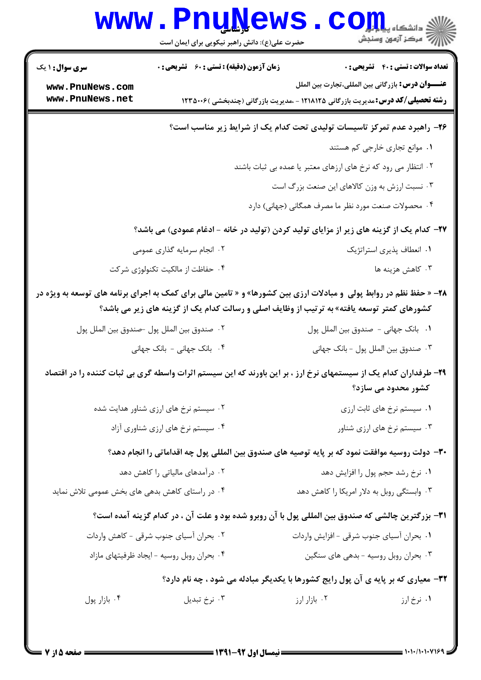|                                                                                                                                                                                                                            | www . Pnunews<br>حضرت علی(ع): دانش راهبر نیکویی برای ایمان است | الاد دانشگاه پيا <mark>با بار</mark><br>الا مرکز آزمون وسنجش                                                                                 |  |
|----------------------------------------------------------------------------------------------------------------------------------------------------------------------------------------------------------------------------|----------------------------------------------------------------|----------------------------------------------------------------------------------------------------------------------------------------------|--|
| سری سوال: ۱ یک                                                                                                                                                                                                             | <b>زمان آزمون (دقیقه) : تستی : 60 ٪ تشریحی : 0</b>             | <b>تعداد سوالات : تستی : 40 ٪ تشریحی : 0</b>                                                                                                 |  |
| www.PnuNews.com<br>www.PnuNews.net                                                                                                                                                                                         |                                                                | عنـــوان درس: بازرگانی بین المللی،تجارت بین الملل<br><b>رشته تحصیلی/کد درس:</b> مدیریت بازرگانی ۱۲۱۸۱۲۵ - ،مدیریت بازرگانی (چندبخشی )۱۲۳۵۰۰۶ |  |
|                                                                                                                                                                                                                            |                                                                | ۲۶- راهبرد عدم تمرکز تاسیسات تولیدی تحت کدام یک از شرایط زیر مناسب است؟                                                                      |  |
|                                                                                                                                                                                                                            |                                                                | ٠١. موانع تجاري خارجي كم هستند                                                                                                               |  |
|                                                                                                                                                                                                                            |                                                                | ۰۲ انتظار می رود که نرخ های ارزهای معتبر یا عمده بی ثبات باشند                                                                               |  |
|                                                                                                                                                                                                                            |                                                                | ۰۳ نسبت ارزش به وزن کالاهای این صنعت بزرگ است                                                                                                |  |
|                                                                                                                                                                                                                            |                                                                | ۰۴ محصولات صنعت مورد نظر ما مصرف همگانی (جهانی) دارد                                                                                         |  |
|                                                                                                                                                                                                                            |                                                                | ۲۷– کدام یک از گزینه های زیر از مزایای تولید کردن (تولید در خانه - ادغام عمودی) می باشد؟                                                     |  |
|                                                                                                                                                                                                                            | ۲. انجام سرمایه گذاری عمومی                                    | ۰۱ انعطاف پذیری استراتژیک                                                                                                                    |  |
|                                                                                                                                                                                                                            | ۰۴ حفاظت از مالکیت تکنولوژی شرکت                               | ۰۳ کاهش هزینه ها                                                                                                                             |  |
| <b>۲۸</b> - « حفظ نظم در روابط پولی  و مبادلات ارزی بین کشورها» و « تامین مالی برای کمک به اجرای برنامه های توسعه به ویژه در<br>کشورهای کمتر توسعه یافته» به ترتیب از وظایف اصلی و رسالت کدام یک از گزینه های زیر می باشد؟ |                                                                |                                                                                                                                              |  |
|                                                                                                                                                                                                                            | ٠٢ صندوق بين الملل پول –صندوق بين الملل پول                    | ٠١. بانک جهاني - صندوق بين الملل پول                                                                                                         |  |
|                                                                                                                                                                                                                            | ۰۴ بانک جهانی - بانک جهانی                                     | ٠٣ صندوق بين الملل پول - بانک جهاني                                                                                                          |  |
| ۲۹– طرفداران کدام یک از سیستمهای نرخ ارز ، بر این باورند که این سیستم اثرات واسطه گری بی ثبات کننده را در اقتصاد<br>کشور محدود می سازد؟                                                                                    |                                                                |                                                                                                                                              |  |
|                                                                                                                                                                                                                            | ۰۲ سیستم نرخ های ارزی شناور هدایت شده                          | ۰۱ سیستم نرخ های ثابت ارزی                                                                                                                   |  |
|                                                                                                                                                                                                                            | ۰۴ سیستم نرخ های ارزی شناوری آزاد                              | ۰۳ سیستم نرخ های ارزی شناور                                                                                                                  |  |
|                                                                                                                                                                                                                            |                                                                | ۳۰– دولت روسیه موافقت نمود که بر پایه توصیه های صندوق بین المللی پول چه اقداماتی را انجام دهد؟                                               |  |
|                                                                                                                                                                                                                            | ۰۲ درآمدهای مالیاتی را کاهش دهد                                | ۰۱ نرخ رشد حجم پول را افزایش دهد                                                                                                             |  |
| ۰۴ در راستای کاهش بدهی های بخش عمومی تلاش نماید                                                                                                                                                                            |                                                                | ۰۳ وابستگی روبل به دلار امریکا را کاهش دهد                                                                                                   |  |
| ٣١- بزرگترين چالشي كه صندوق بين المللي پول با آن روبرو شده بود و علت آن ، در كدام گزينه آمده است؟                                                                                                                          |                                                                |                                                                                                                                              |  |
|                                                                                                                                                                                                                            | ۰۲ بحران آسیای جنوب شرقی - کاهش واردات                         | ٠١. بحران أسياي جنوب شرقي - افزايش واردات                                                                                                    |  |
|                                                                                                                                                                                                                            | ۰۴ بحران روبل روسيه - ايجاد ظرفيتهاى مازاد                     | ۰۳ بحران روبل روسیه - بدهی های سنگین                                                                                                         |  |
|                                                                                                                                                                                                                            |                                                                | 32- معیاری که بر پایه ی آن پول رایج کشورها با یکدیگر مبادله می شود ، چه نام دارد؟                                                            |  |
| ۰۴ بازار پول                                                                                                                                                                                                               | ۰۳ نرخ تبدیل                                                   | ۰۲ بازار ارز<br>۰۱ نرخ ارز                                                                                                                   |  |
|                                                                                                                                                                                                                            |                                                                |                                                                                                                                              |  |

 $1 - 1 - 1 - 1 - 1 - 1$ 

صفحه 5 از 7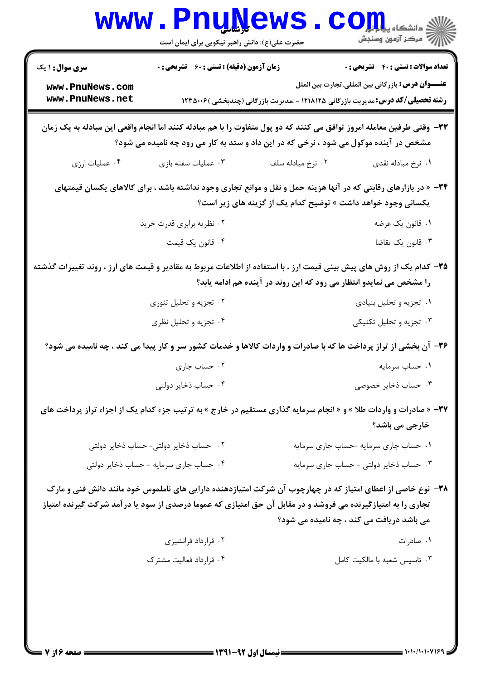|                                                                                                                                                                                                                                                                          | <b>www.PnuNews</b><br>حضرت علی(ع): دانش راهبر نیکویی برای ایمان است                                                                                                                                            |                   |                                                                                                                                                                                              |
|--------------------------------------------------------------------------------------------------------------------------------------------------------------------------------------------------------------------------------------------------------------------------|----------------------------------------------------------------------------------------------------------------------------------------------------------------------------------------------------------------|-------------------|----------------------------------------------------------------------------------------------------------------------------------------------------------------------------------------------|
| <b>سری سوال : ۱ یک</b><br>www.PnuNews.com<br>www.PnuNews.net                                                                                                                                                                                                             | <b>زمان آزمون (دقیقه) : تستی : 60 ٪ تشریحی : 0</b>                                                                                                                                                             |                   | <b>تعداد سوالات : تستي : 40 - تشريحي : 0</b><br>عنـــوان درس: بازرگانی بین المللی،تجارت بین الملل<br><b>رشته تحصیلی/کد درس:</b> مدیریت بازرگانی ۱۲۱۸۱۲۵ - ،مدیریت بازرگانی (چندبخشی )۱۲۳۵۰۰۶ |
|                                                                                                                                                                                                                                                                          | ۳۳- وقتی طرفین معامله امروز توافق می کنند که دو پول متفاوت را با هم مبادله کنند اما انجام واقعی این مبادله به یک زمان<br>مشخص در آینده موکول می شود ، نرخی که در این داد و ستد به کار می رود چه نامیده می شود؟ |                   |                                                                                                                                                                                              |
| ۰۴ عملیات ارزی                                                                                                                                                                                                                                                           | ۰۳ عملیات سفته بازی                                                                                                                                                                                            | ۰۲ نرخ مبادله سلف | ۰۱ نرخ مبادله نقدي                                                                                                                                                                           |
| ۳۴- « در بازارهای رقابتی که در آنها هزینه حمل و نقل و موانع تجاری وجود نداشته باشد ، برای کالاهای یکسان قیمتهای<br>یکسانی وجود خواهد داشت » توضیح کدام یک از گزینه های زیر است؟                                                                                          |                                                                                                                                                                                                                |                   |                                                                                                                                                                                              |
|                                                                                                                                                                                                                                                                          | ۰۲ نظریه برابری قدرت خرید                                                                                                                                                                                      |                   | ۰۱ قانون یک عرضه                                                                                                                                                                             |
|                                                                                                                                                                                                                                                                          | ۰۴ قانون یک قیمت                                                                                                                                                                                               |                   | ۰۳ قانون یک تقاضا                                                                                                                                                                            |
| ۳۵– کدام یک از روش های پیش بینی قیمت ارز ، با استفاده از اطلاعات مربوط به مقادیر و قیمت های ارز ، روند تغییرات گذشته<br>را مشخص می نمایدو انتظار می رود که این روند در آینده هم ادامه یابد؟                                                                              |                                                                                                                                                                                                                |                   |                                                                                                                                                                                              |
|                                                                                                                                                                                                                                                                          | ۰۲ تجزیه و تحلیل تئوری                                                                                                                                                                                         |                   | ۰۱ تجزیه و تحلیل بنیادی                                                                                                                                                                      |
|                                                                                                                                                                                                                                                                          | ۰۴ تجزیه و تحلیل نظری                                                                                                                                                                                          |                   | ۰۳ تجزیه و تحلیل تکنیکی                                                                                                                                                                      |
|                                                                                                                                                                                                                                                                          | ۳۶- آن بخشی از تراز پرداخت ها که با صادرات و واردات کالاها و خدمات کشور سر و کار پیدا می کند ، چه نامیده می شود؟                                                                                               |                   |                                                                                                                                                                                              |
|                                                                                                                                                                                                                                                                          | ۰۲ حساب جاری                                                                                                                                                                                                   |                   | ۰۱ حساب سرمایه                                                                                                                                                                               |
|                                                                                                                                                                                                                                                                          | ۰۴ حساب ذخاير دولتي                                                                                                                                                                                            |                   | ۰۳ حساب ذخایر خصوصی                                                                                                                                                                          |
|                                                                                                                                                                                                                                                                          | <b>۳۷</b> - « صادرات و واردات طلا » و « انجام سرمایه گذاری مستقیم در خارج » به ترتیب جزء کدام یک از اجزاء تراز پرداخت های                                                                                      |                   | خارجی می باشد؟                                                                                                                                                                               |
|                                                                                                                                                                                                                                                                          | ۰۲ حساب ذخایر دولتی- حساب ذخایر دولتی                                                                                                                                                                          |                   | ٠١ حساب جاري سرمايه حساب جاري سرمايه                                                                                                                                                         |
|                                                                                                                                                                                                                                                                          | ۰۴ حساب جاری سرمایه - حساب ذخایر دولتی                                                                                                                                                                         |                   | ۰۳ حساب ذخایر دولتی - حساب جاری سرمایه                                                                                                                                                       |
| ۳۸– نوع خاصی از اعطای امتیاز که در چهارچوب آن شرکت امتیازدهنده دارایی های ناملموس خود مانند دانش فنی و مارک<br>تجاری را به امتیازگیرنده می فروشد و در مقابل آن حق امتیازی که عموما درصدی از سود یا درآمد شرکت گیرنده امتیاز<br>می باشد دریافت می کند ، چه نامیده می شود؟ |                                                                                                                                                                                                                |                   |                                                                                                                                                                                              |
|                                                                                                                                                                                                                                                                          | ۰۲ قرارداد فرانشیزی                                                                                                                                                                                            |                   | ۰۱ صادرات                                                                                                                                                                                    |
|                                                                                                                                                                                                                                                                          | ۰۴ قرارداد فعالیت مشترک                                                                                                                                                                                        |                   | ۰۳ تاسیس شعبه با مالکیت کامل                                                                                                                                                                 |
|                                                                                                                                                                                                                                                                          |                                                                                                                                                                                                                |                   |                                                                                                                                                                                              |